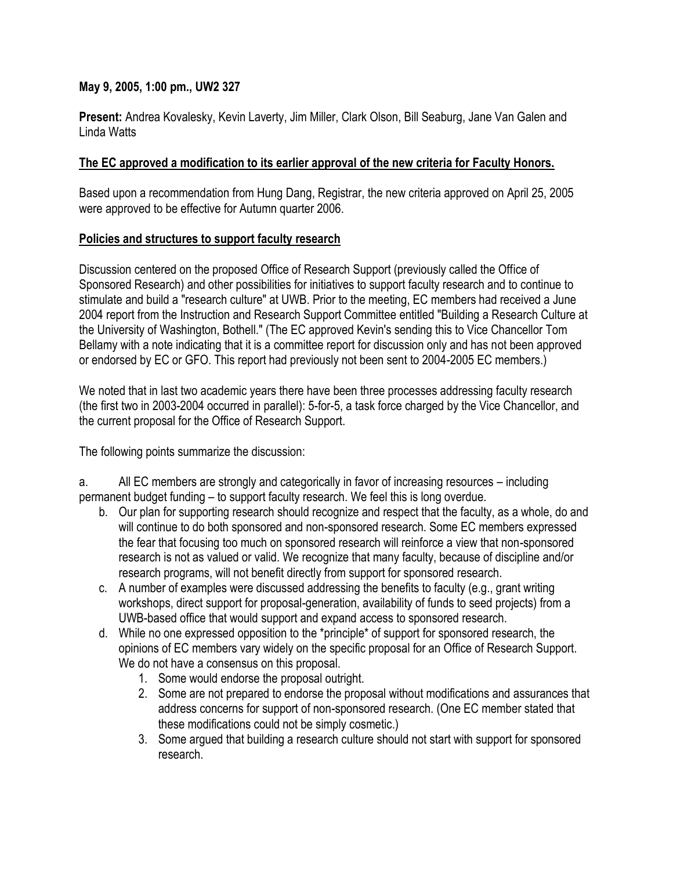## **May 9, 2005, 1:00 pm., UW2 327**

**Present:** Andrea Kovalesky, Kevin Laverty, Jim Miller, Clark Olson, Bill Seaburg, Jane Van Galen and Linda Watts

## **The EC approved a modification to its earlier approval of the new criteria for Faculty Honors.**

Based upon a recommendation from Hung Dang, Registrar, the new criteria approved on April 25, 2005 were approved to be effective for Autumn quarter 2006.

## **Policies and structures to support faculty research**

Discussion centered on the proposed Office of Research Support (previously called the Office of Sponsored Research) and other possibilities for initiatives to support faculty research and to continue to stimulate and build a "research culture" at UWB. Prior to the meeting, EC members had received a June 2004 report from the Instruction and Research Support Committee entitled "Building a Research Culture at the University of Washington, Bothell." (The EC approved Kevin's sending this to Vice Chancellor Tom Bellamy with a note indicating that it is a committee report for discussion only and has not been approved or endorsed by EC or GFO. This report had previously not been sent to 2004-2005 EC members.)

We noted that in last two academic years there have been three processes addressing faculty research (the first two in 2003-2004 occurred in parallel): 5-for-5, a task force charged by the Vice Chancellor, and the current proposal for the Office of Research Support.

The following points summarize the discussion:

a. All EC members are strongly and categorically in favor of increasing resources – including permanent budget funding – to support faculty research. We feel this is long overdue.

- b. Our plan for supporting research should recognize and respect that the faculty, as a whole, do and will continue to do both sponsored and non-sponsored research. Some EC members expressed the fear that focusing too much on sponsored research will reinforce a view that non-sponsored research is not as valued or valid. We recognize that many faculty, because of discipline and/or research programs, will not benefit directly from support for sponsored research.
- c. A number of examples were discussed addressing the benefits to faculty (e.g., grant writing workshops, direct support for proposal-generation, availability of funds to seed projects) from a UWB-based office that would support and expand access to sponsored research.
- d. While no one expressed opposition to the \*principle\* of support for sponsored research, the opinions of EC members vary widely on the specific proposal for an Office of Research Support. We do not have a consensus on this proposal.
	- 1. Some would endorse the proposal outright.
	- 2. Some are not prepared to endorse the proposal without modifications and assurances that address concerns for support of non-sponsored research. (One EC member stated that these modifications could not be simply cosmetic.)
	- 3. Some argued that building a research culture should not start with support for sponsored research.